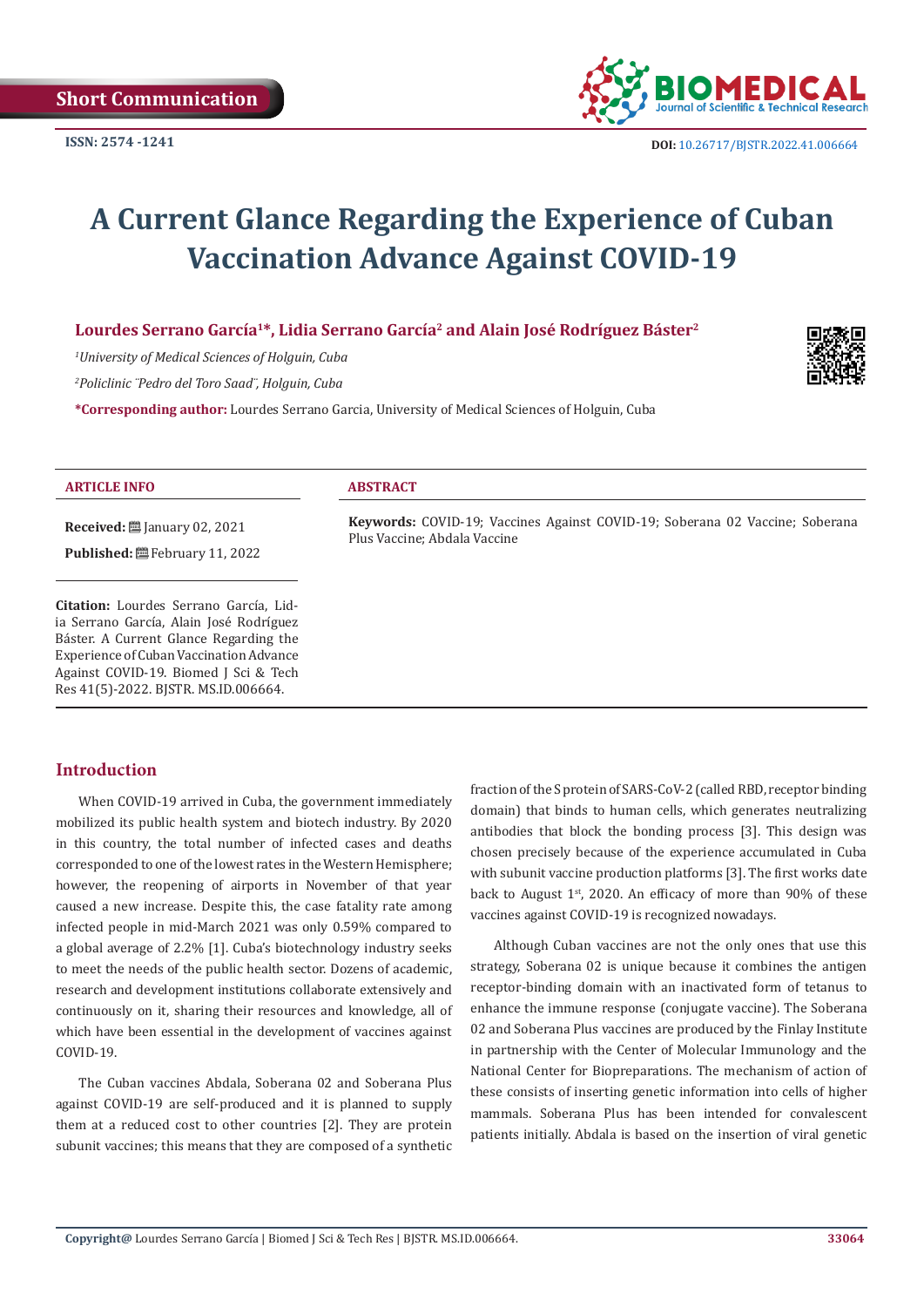

# **A Current Glance Regarding the Experience of Cuban Vaccination Advance Against COVID-19**

**Lourdes Serrano García1\*, Lidia Serrano García2 and Alain José Rodríguez Báster2**

*1 University of Medical Sciences of Holguin, Cuba*

*2 Policlinic ¨Pedro del Toro Saad¨, Holguin, Cuba*

**\*Corresponding author:** Lourdes Serrano Garcia, University of Medical Sciences of Holguin, Cuba



#### **ARTICLE INFO ABSTRACT**

**Received:** ■ January 02, 2021

Published: **■**February 11, 2022

**Citation:** Lourdes Serrano García, Lidia Serrano García, Alain José Rodríguez Báster. A Current Glance Regarding the Experience of Cuban Vaccination Advance Against COVID-19. Biomed J Sci & Tech Res 41(5)-2022. BJSTR. MS.ID.006664.

**Keywords:** COVID-19; Vaccines Against COVID-19; Soberana 02 Vaccine; Soberana Plus Vaccine; Abdala Vaccine

#### **Introduction**

When COVID-19 arrived in Cuba, the government immediately mobilized its public health system and biotech industry. By 2020 in this country, the total number of infected cases and deaths corresponded to one of the lowest rates in the Western Hemisphere; however, the reopening of airports in November of that year caused a new increase. Despite this, the case fatality rate among infected people in mid-March 2021 was only 0.59% compared to a global average of 2.2% [1]. Cuba's biotechnology industry seeks to meet the needs of the public health sector. Dozens of academic, research and development institutions collaborate extensively and continuously on it, sharing their resources and knowledge, all of which have been essential in the development of vaccines against COVID-19.

The Cuban vaccines Abdala, Soberana 02 and Soberana Plus against COVID-19 are self-produced and it is planned to supply them at a reduced cost to other countries [2]. They are protein subunit vaccines; this means that they are composed of a synthetic fraction of the S protein of SARS-CoV-2 (called RBD, receptor binding domain) that binds to human cells, which generates neutralizing antibodies that block the bonding process [3]. This design was chosen precisely because of the experience accumulated in Cuba with subunit vaccine production platforms [3]. The first works date back to August  $1<sup>st</sup>$ , 2020. An efficacy of more than 90% of these vaccines against COVID-19 is recognized nowadays.

Although Cuban vaccines are not the only ones that use this strategy, Soberana 02 is unique because it combines the antigen receptor-binding domain with an inactivated form of tetanus to enhance the immune response (conjugate vaccine). The Soberana 02 and Soberana Plus vaccines are produced by the Finlay Institute in partnership with the Center of Molecular Immunology and the National Center for Biopreparations. The mechanism of action of these consists of inserting genetic information into cells of higher mammals. Soberana Plus has been intended for convalescent patients initially. Abdala is based on the insertion of viral genetic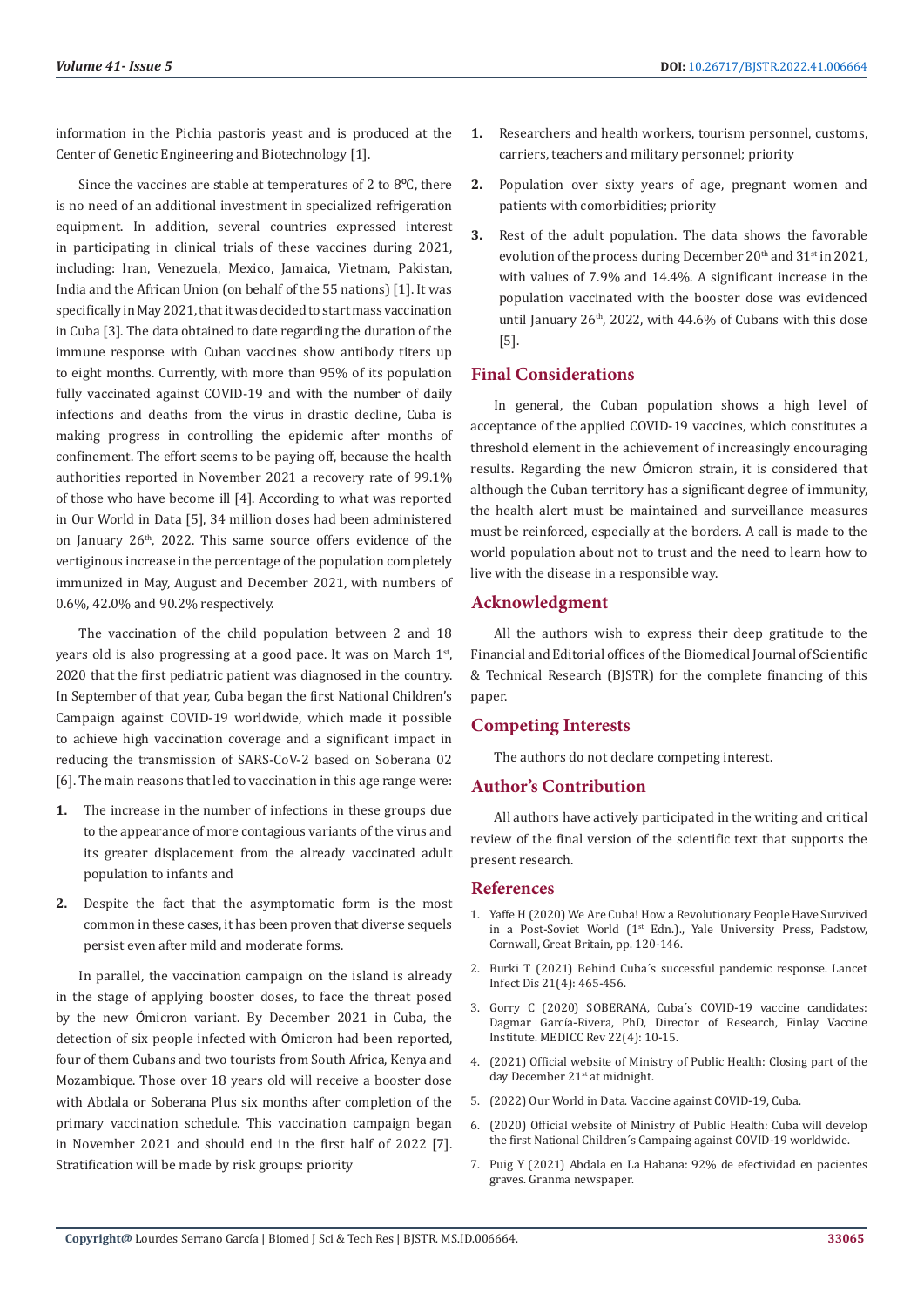information in the Pichia pastoris yeast and is produced at the Center of Genetic Engineering and Biotechnology [1].

Since the vaccines are stable at temperatures of 2 to 8ºC, there is no need of an additional investment in specialized refrigeration equipment. In addition, several countries expressed interest in participating in clinical trials of these vaccines during 2021, including: Iran, Venezuela, Mexico, Jamaica, Vietnam, Pakistan, India and the African Union (on behalf of the 55 nations) [1]. It was specifically in May 2021, that it was decided to start mass vaccination in Cuba [3]. The data obtained to date regarding the duration of the immune response with Cuban vaccines show antibody titers up to eight months. Currently, with more than 95% of its population fully vaccinated against COVID-19 and with the number of daily infections and deaths from the virus in drastic decline, Cuba is making progress in controlling the epidemic after months of confinement. The effort seems to be paying off, because the health authorities reported in November 2021 a recovery rate of 99.1% of those who have become ill [4]. According to what was reported in Our World in Data [5], 34 million doses had been administered on January 26th, 2022. This same source offers evidence of the vertiginous increase in the percentage of the population completely immunized in May, August and December 2021, with numbers of 0.6%, 42.0% and 90.2% respectively.

The vaccination of the child population between 2 and 18 years old is also progressing at a good pace. It was on March 1st, 2020 that the first pediatric patient was diagnosed in the country. In September of that year, Cuba began the first National Children's Campaign against COVID-19 worldwide, which made it possible to achieve high vaccination coverage and a significant impact in reducing the transmission of SARS-CoV-2 based on Soberana 02 [6]. The main reasons that led to vaccination in this age range were:

- **1.** The increase in the number of infections in these groups due to the appearance of more contagious variants of the virus and its greater displacement from the already vaccinated adult population to infants and
- **2.** Despite the fact that the asymptomatic form is the most common in these cases, it has been proven that diverse sequels persist even after mild and moderate forms.

In parallel, the vaccination campaign on the island is already in the stage of applying booster doses, to face the threat posed by the new Ómicron variant. By December 2021 in Cuba, the detection of six people infected with Ómicron had been reported, four of them Cubans and two tourists from South Africa, Kenya and Mozambique. Those over 18 years old will receive a booster dose with Abdala or Soberana Plus six months after completion of the primary vaccination schedule. This vaccination campaign began in November 2021 and should end in the first half of 2022 [7]. Stratification will be made by risk groups: priority

- **1.** Researchers and health workers, tourism personnel, customs, carriers, teachers and military personnel; priority
- **2.** Population over sixty years of age, pregnant women and patients with comorbidities; priority
- **3.** Rest of the adult population. The data shows the favorable evolution of the process during December  $20<sup>th</sup>$  and  $31<sup>st</sup>$  in 2021, with values of 7.9% and 14.4%. A significant increase in the population vaccinated with the booster dose was evidenced until January 26<sup>th</sup>, 2022, with 44.6% of Cubans with this dose [5].

# **Final Considerations**

In general, the Cuban population shows a high level of acceptance of the applied COVID-19 vaccines, which constitutes a threshold element in the achievement of increasingly encouraging results. Regarding the new Ómicron strain, it is considered that although the Cuban territory has a significant degree of immunity, the health alert must be maintained and surveillance measures must be reinforced, especially at the borders. A call is made to the world population about not to trust and the need to learn how to live with the disease in a responsible way.

# **Acknowledgment**

All the authors wish to express their deep gratitude to the Financial and Editorial offices of the Biomedical Journal of Scientific & Technical Research (BJSTR) for the complete financing of this paper.

# **Competing Interests**

The authors do not declare competing interest.

## **Author's Contribution**

All authors have actively participated in the writing and critical review of the final version of the scientific text that supports the present research.

### **References**

- 1. [Yaffe H \(2020\) We Are Cuba! How a Revolutionary People Have Survived](https://www.amazon.in/We-Are-Cuba-Revolutionary-Post-Soviet/dp/0300230036) [in a Post-Soviet World \(1st Edn.\)., Yale University Press, Padstow,](https://www.amazon.in/We-Are-Cuba-Revolutionary-Post-Soviet/dp/0300230036) [Cornwall, Great Britain, pp. 120-146.](https://www.amazon.in/We-Are-Cuba-Revolutionary-Post-Soviet/dp/0300230036)
- 2. [Burki T \(2021\) Behind Cuba´s successful pandemic response. Lancet](https://pubmed.ncbi.nlm.nih.gov/33773131/) [Infect Dis 21\(4\): 465-456.](https://pubmed.ncbi.nlm.nih.gov/33773131/)
- 3. [Gorry C \(2020\) SOBERANA, Cuba´s COVID-19 vaccine candidates:](https://pubmed.ncbi.nlm.nih.gov/33295312/) Dagmar Garcí[a-Rivera, PhD, Director of Research, Finlay Vaccine](https://pubmed.ncbi.nlm.nih.gov/33295312/) [Institute. MEDICC Rev 22\(4\): 10-15.](https://pubmed.ncbi.nlm.nih.gov/33295312/)
- 4. (2021) Official website of Ministry of Public Health: Closing part of the day December 21<sup>st</sup> at midnight.
- 5. (2022) Our World in Data. Vaccine against COVID-19, Cuba.
- 6. (2020) Official website of Ministry of Public Health: Cuba will develop the first National Children´s Campaing against COVID-19 worldwide.
- 7. [Puig Y \(2021\) Abdala en La Habana: 92% de efectividad en pacientes](https://www.granma.cu/cuba-covid-19/2021-11-02/abdala-en-la-habana-92-de-efectividad-en-pacientes-graves-02-11-2021-23-11-24) [graves. Granma newspaper.](https://www.granma.cu/cuba-covid-19/2021-11-02/abdala-en-la-habana-92-de-efectividad-en-pacientes-graves-02-11-2021-23-11-24)